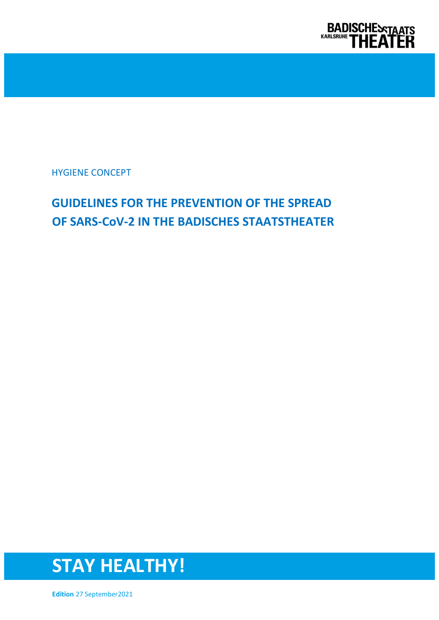

# **GUIDELINES FOR THE PREVENTION OF THE SPREAD OF SARS-CoV-2 IN THE BADISCHES STAATSTHEATER**



**Edition** 27 September2021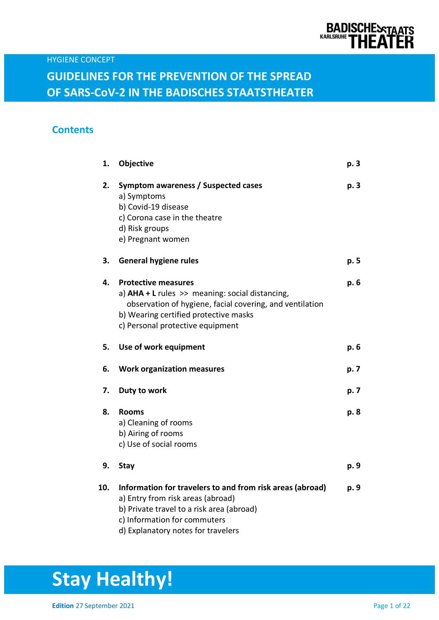

### **Contents**

| 1.  | Objective                                                                                                                                                                                                                | p. 3 |
|-----|--------------------------------------------------------------------------------------------------------------------------------------------------------------------------------------------------------------------------|------|
| 2.  | Symptom awareness / Suspected cases<br>a) Symptoms<br>b) Covid-19 disease<br>c) Corona case in the theatre<br>d) Risk groups<br>e) Pregnant women                                                                        | p. 3 |
| 3.  | <b>General hygiene rules</b>                                                                                                                                                                                             | p. 5 |
| 4.  | <b>Protective measures</b><br>a) $AHA + L$ rules >> meaning: social distancing,<br>observation of hygiene, facial covering, and ventilation<br>b) Wearing certified protective masks<br>c) Personal protective equipment | p. 6 |
| 5.  | Use of work equipment                                                                                                                                                                                                    | p. 6 |
| 6.  | <b>Work organization measures</b>                                                                                                                                                                                        | p. 7 |
| 7.  | Duty to work                                                                                                                                                                                                             | p. 7 |
| 8.  | <b>Rooms</b><br>a) Cleaning of rooms<br>b) Airing of rooms<br>c) Use of social rooms                                                                                                                                     | p. 8 |
| 9.  | <b>Stay</b>                                                                                                                                                                                                              | p. 9 |
| 10. | Information for travelers to and from risk areas (abroad)<br>a) Entry from risk areas (abroad)<br>b) Private travel to a risk area (abroad)<br>c) Information for commuters<br>d) Explanatory notes for travelers        | p. 9 |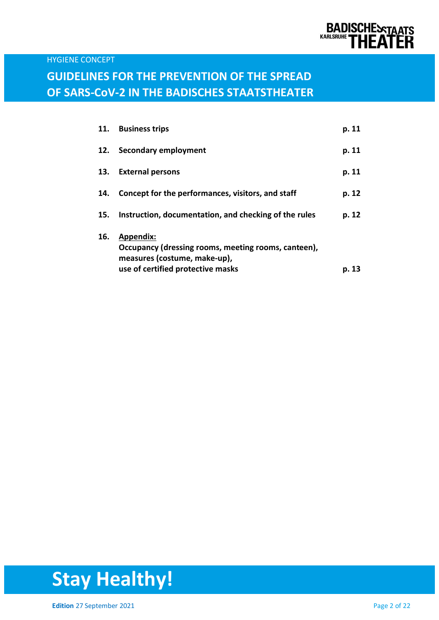

## **GUIDELINES FOR THE PREVENTION OF THE SPREAD OF SARS-CoV-2 IN THE BADISCHES STAATSTHEATER**

| 11. | <b>Business trips</b>                                                                                   | p. 11 |
|-----|---------------------------------------------------------------------------------------------------------|-------|
| 12. | Secondary employment                                                                                    | p. 11 |
| 13. | <b>External persons</b>                                                                                 | p. 11 |
| 14. | Concept for the performances, visitors, and staff                                                       | p. 12 |
| 15. | Instruction, documentation, and checking of the rules                                                   | p. 12 |
| 16. | <b>Appendix:</b><br>Occupancy (dressing rooms, meeting rooms, canteen),<br>measures (costume, make-up), |       |
|     | use of certified protective masks                                                                       | p. 13 |

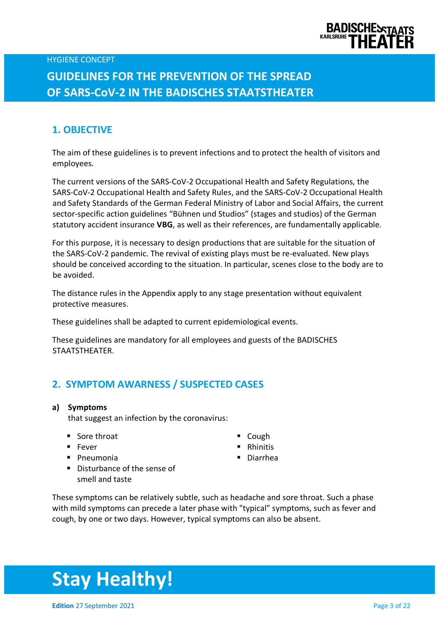

# **GUIDELINES FOR THE PREVENTION OF THE SPREAD OF SARS-CoV-2 IN THE BADISCHES STAATSTHEATER**

### **1. OBJECTIVE**

The aim of these guidelines is to prevent infections and to protect the health of visitors and employees.

The current versions of the SARS-CoV-2 Occupational Health and Safety Regulations, the SARS-CoV-2 Occupational Health and Safety Rules, and the SARS-CoV-2 Occupational Health and Safety Standards of the German Federal Ministry of Labor and Social Affairs, the current sector-specific action guidelines "Bühnen und Studios" (stages and studios) of the German statutory accident insurance **VBG**, as well as their references, are fundamentally applicable.

For this purpose, it is necessary to design productions that are suitable for the situation of the SARS-CoV-2 pandemic. The revival of existing plays must be re-evaluated. New plays should be conceived according to the situation. In particular, scenes close to the body are to be avoided.

The distance rules in the Appendix apply to any stage presentation without equivalent protective measures.

These guidelines shall be adapted to current epidemiological events.

These guidelines are mandatory for all employees and guests of the BADISCHES STAATSTHEATER.

### **2. SYMPTOM AWARNESS / SUSPECTED CASES**

#### **a) Symptoms**

that suggest an infection by the coronavirus:

- Sore throat Cough
- 
- Pneumonia Diarrhea
- 
- Fever Rhinitis
	-
- Disturbance of the sense of smell and taste

These symptoms can be relatively subtle, such as headache and sore throat. Such a phase with mild symptoms can precede a later phase with "typical" symptoms, such as fever and cough, by one or two days. However, typical symptoms can also be absent.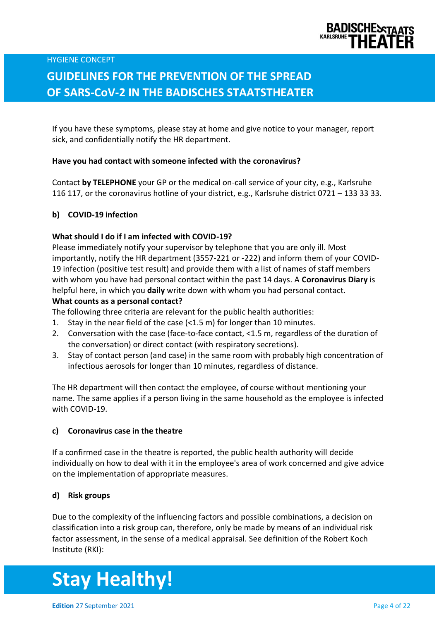

# **GUIDELINES FOR THE PREVENTION OF THE SPREAD OF SARS-CoV-2 IN THE BADISCHES STAATSTHEATER**

If you have these symptoms, please stay at home and give notice to your manager, report sick, and confidentially notify the HR department.

#### **Have you had contact with someone infected with the coronavirus?**

Contact **by TELEPHONE** your GP or the medical on-call service of your city, e.g., Karlsruhe 116 117, or the coronavirus hotline of your district, e.g., Karlsruhe district 0721 – 133 33 33.

#### **b) COVID-19 infection**

#### **What should I do if I am infected with COVID-19?**

Please immediately notify your supervisor by telephone that you are only ill. Most importantly, notify the HR department (3557-221 or -222) and inform them of your COVID-19 infection (positive test result) and provide them with a list of names of staff members with whom you have had personal contact within the past 14 days. A **Coronavirus Diary** is helpful here, in which you **daily** write down with whom you had personal contact.

#### **What counts as a personal contact?**

The following three criteria are relevant for the public health authorities:

- 1. Stay in the near field of the case (<1.5 m) for longer than 10 minutes.
- 2. Conversation with the case (face-to-face contact, <1.5 m, regardless of the duration of the conversation) or direct contact (with respiratory secretions).
- 3. Stay of contact person (and case) in the same room with probably high concentration of infectious aerosols for longer than 10 minutes, regardless of distance.

The HR department will then contact the employee, of course without mentioning your name. The same applies if a person living in the same household as the employee is infected with COVID-19.

#### **c) Coronavirus case in the theatre**

If a confirmed case in the theatre is reported, the public health authority will decide individually on how to deal with it in the employee's area of work concerned and give advice on the implementation of appropriate measures.

#### **d) Risk groups**

Due to the complexity of the influencing factors and possible combinations, a decision on classification into a risk group can, therefore, only be made by means of an individual risk factor assessment, in the sense of a medical appraisal. See definition of the Robert Koch Institute (RKI):

# **Stay Healthy!**

**Edition** 27 September 2021 **Page 4 of 22 Page 4 of 22**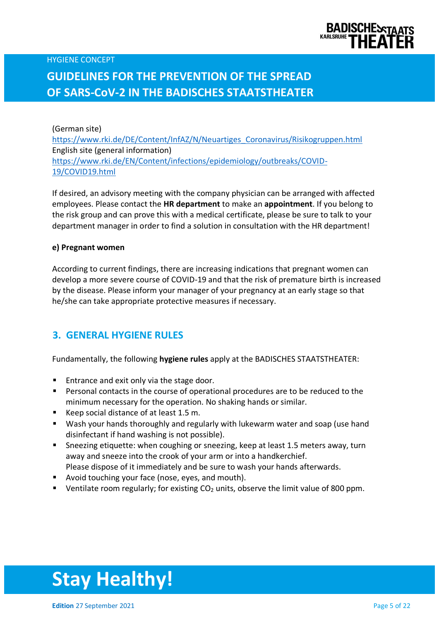

(German site) [https://www.rki.de/DE/Content/InfAZ/N/Neuartiges\\_Coronavirus/Risikogruppen.html](https://www.rki.de/DE/Content/InfAZ/N/Neuartiges_Coronavirus/Risikogruppen.html) English site (general information) [https://www.rki.de/EN/Content/infections/epidemiology/outbreaks/COVID-](https://www.rki.de/EN/Content/infections/epidemiology/outbreaks/COVID-19/COVID19.html)[19/COVID19.html](https://www.rki.de/EN/Content/infections/epidemiology/outbreaks/COVID-19/COVID19.html)

If desired, an advisory meeting with the company physician can be arranged with affected employees. Please contact the **HR department** to make an **appointment**. If you belong to the risk group and can prove this with a medical certificate, please be sure to talk to your department manager in order to find a solution in consultation with the HR department!

#### **e) Pregnant women**

According to current findings, there are increasing indications that pregnant women can develop a more severe course of COVID-19 and that the risk of premature birth is increased by the disease. Please inform your manager of your pregnancy at an early stage so that he/she can take appropriate protective measures if necessary.

### **3. GENERAL HYGIENE RULES**

Fundamentally, the following **hygiene rules** apply at the BADISCHES STAATSTHEATER:

- Entrance and exit only via the stage door.
- Personal contacts in the course of operational procedures are to be reduced to the minimum necessary for the operation. No shaking hands or similar.
- Keep social distance of at least 1.5 m.
- Wash your hands thoroughly and regularly with lukewarm water and soap (use hand disinfectant if hand washing is not possible).
- **E** Sneezing etiquette: when coughing or sneezing, keep at least 1.5 meters away, turn away and sneeze into the crook of your arm or into a handkerchief.
- Please dispose of it immediately and be sure to wash your hands afterwards.
- Avoid touching your face (nose, eyes, and mouth).
- **E** Ventilate room regularly; for existing  $CO<sub>2</sub>$  units, observe the limit value of 800 ppm.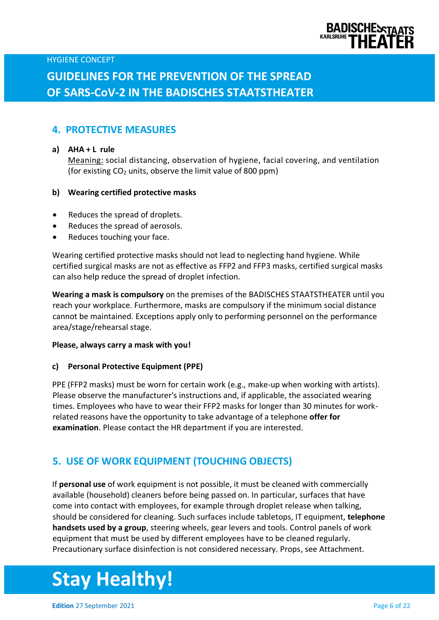

## **GUIDELINES FOR THE PREVENTION OF THE SPREAD OF SARS-CoV-2 IN THE BADISCHES STAATSTHEATER**

### **4. PROTECTIVE MEASURES**

#### **a) AHA + L rule**

Meaning: social distancing, observation of hygiene, facial covering, and ventilation (for existing  $CO<sub>2</sub>$  units, observe the limit value of 800 ppm)

#### **b) Wearing certified protective masks**

- Reduces the spread of droplets.
- Reduces the spread of aerosols.
- Reduces touching your face.

Wearing certified protective masks should not lead to neglecting hand hygiene. While certified surgical masks are not as effective as FFP2 and FFP3 masks, certified surgical masks can also help reduce the spread of droplet infection.

**Wearing a mask is compulsory** on the premises of the BADISCHES STAATSTHEATER until you reach your workplace. Furthermore, masks are compulsory if the minimum social distance cannot be maintained. Exceptions apply only to performing personnel on the performance area/stage/rehearsal stage.

#### **Please, always carry a mask with you!**

#### **c) Personal Protective Equipment (PPE)**

PPE (FFP2 masks) must be worn for certain work (e.g., make-up when working with artists). Please observe the manufacturer's instructions and, if applicable, the associated wearing times. Employees who have to wear their FFP2 masks for longer than 30 minutes for workrelated reasons have the opportunity to take advantage of a telephone **offer for examination**. Please contact the HR department if you are interested.

### **5. USE OF WORK EQUIPMENT (TOUCHING OBJECTS)**

If **personal use** of work equipment is not possible, it must be cleaned with commercially available (household) cleaners before being passed on. In particular, surfaces that have come into contact with employees, for example through droplet release when talking, should be considered for cleaning. Such surfaces include tabletops, IT equipment, **telephone handsets used by a group**, steering wheels, gear levers and tools. Control panels of work equipment that must be used by different employees have to be cleaned regularly. Precautionary surface disinfection is not considered necessary. Props, see Attachment.

# **Stay Healthy!**

**Edition** 27 September 2021 **Page 6 of 22 Page 6 of 22**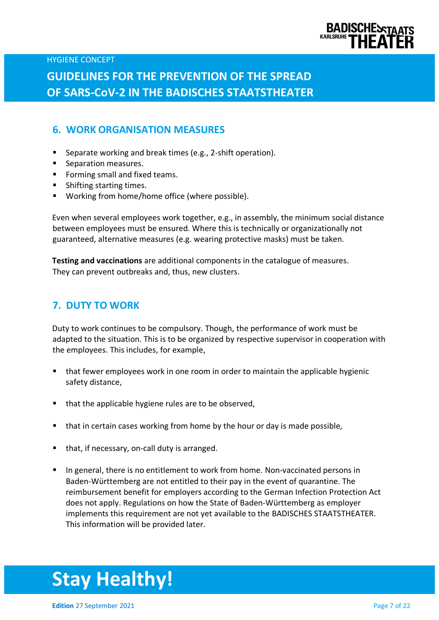

## **GUIDELINES FOR THE PREVENTION OF THE SPREAD OF SARS-CoV-2 IN THE BADISCHES STAATSTHEATER**

### **6. WORK ORGANISATION MEASURES**

- Separate working and break times (e.g., 2-shift operation).
- Separation measures.
- Forming small and fixed teams.
- Shifting starting times.
- Working from home/home office (where possible).

Even when several employees work together, e.g., in assembly, the minimum social distance between employees must be ensured. Where this is technically or organizationally not guaranteed, alternative measures (e.g. wearing protective masks) must be taken.

**Testing and vaccinations** are additional components in the catalogue of measures. They can prevent outbreaks and, thus, new clusters.

### **7. DUTY TO WORK**

Duty to work continues to be compulsory. Though, the performance of work must be adapted to the situation. This is to be organized by respective supervisor in cooperation with the employees. This includes, for example,

- that fewer employees work in one room in order to maintain the applicable hygienic safety distance,
- that the applicable hygiene rules are to be observed,
- that in certain cases working from home by the hour or day is made possible,
- that, if necessary, on-call duty is arranged.
- In general, there is no entitlement to work from home. Non-vaccinated persons in Baden-Württemberg are not entitled to their pay in the event of quarantine. The reimbursement benefit for employers according to the German Infection Protection Act does not apply. Regulations on how the State of Baden-Württemberg as employer implements this requirement are not yet available to the BADISCHES STAATSTHEATER. This information will be provided later.

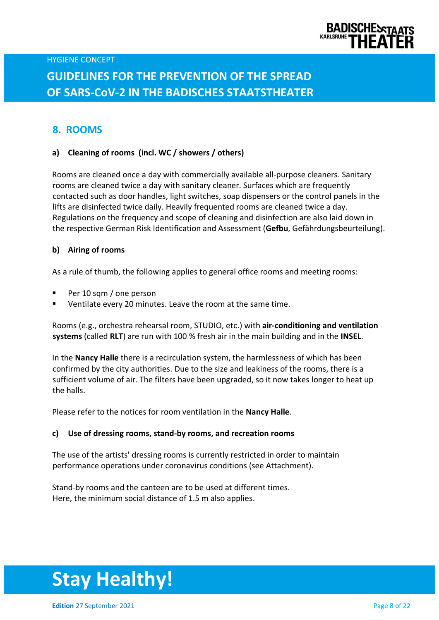

### **8. ROOMS**

#### **a) Cleaning of rooms (incl. WC / showers / others)**

Rooms are cleaned once a day with commercially available all-purpose cleaners. Sanitary rooms are cleaned twice a day with sanitary cleaner. Surfaces which are frequently contacted such as door handles, light switches, soap dispensers or the control panels in the lifts are disinfected twice daily. Heavily frequented rooms are cleaned twice a day. Regulations on the frequency and scope of cleaning and disinfection are also laid down in the respective German Risk Identification and Assessment (**Gefbu**, Gefährdungsbeurteilung).

#### **b) Airing of rooms**

As a rule of thumb, the following applies to general office rooms and meeting rooms:

- Per 10 sqm / one person
- Ventilate every 20 minutes. Leave the room at the same time.

Rooms (e.g., orchestra rehearsal room, STUDIO, etc.) with **air-conditioning and ventilation systems** (called **RLT**) are run with 100 % fresh air in the main building and in the **INSEL**.

In the **Nancy Halle** there is a recirculation system, the harmlessness of which has been confirmed by the city authorities. Due to the size and leakiness of the rooms, there is a sufficient volume of air. The filters have been upgraded, so it now takes longer to heat up the halls.

Please refer to the notices for room ventilation in the **Nancy Halle**.

#### **c) Use of dressing rooms, stand-by rooms, and recreation rooms**

The use of the artists' dressing rooms is currently restricted in order to maintain performance operations under coronavirus conditions (see Attachment).

Stand-by rooms and the canteen are to be used at different times. Here, the minimum social distance of 1.5 m also applies.

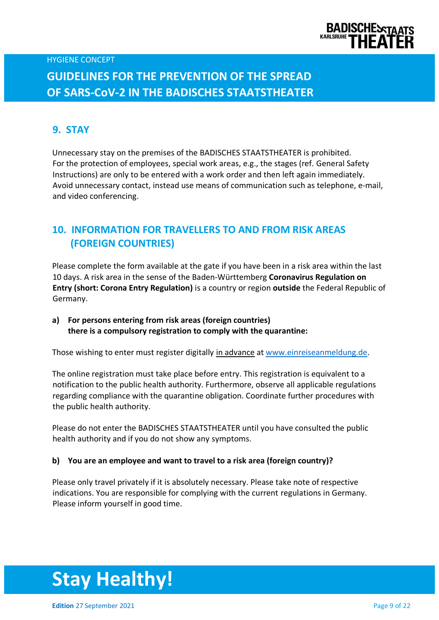

# **GUIDELINES FOR THE PREVENTION OF THE SPREAD OF SARS-CoV-2 IN THE BADISCHES STAATSTHEATER**

### **9. STAY**

Unnecessary stay on the premises of the BADISCHES STAATSTHEATER is prohibited. For the protection of employees, special work areas, e.g., the stages (ref. General Safety Instructions) are only to be entered with a work order and then left again immediately. Avoid unnecessary contact, instead use means of communication such as telephone, e-mail, and video conferencing.

### **10. INFORMATION FOR TRAVELLERS TO AND FROM RISK AREAS (FOREIGN COUNTRIES)**

Please complete the form available at the gate if you have been in a risk area within the last 10 days. A risk area in the sense of the Baden-Württemberg **Coronavirus Regulation on Entry (short: Corona Entry Regulation)** is a country or region **outside** the Federal Republic of Germany.

### **a) For persons entering from risk areas (foreign countries) there is a compulsory registration to comply with the quarantine:**

Those wishing to enter must register digitally in advance at [www.einreiseanmeldung.de.](http://www.einreiseanmeldung.de/)

The online registration must take place before entry. This registration is equivalent to a notification to the public health authority. Furthermore, observe all applicable regulations regarding compliance with the quarantine obligation. Coordinate further procedures with the public health authority.

Please do not enter the BADISCHES STAATSTHEATER until you have consulted the public health authority and if you do not show any symptoms.

#### **b) You are an employee and want to travel to a risk area (foreign country)?**

Please only travel privately if it is absolutely necessary. Please take note of respective indications. You are responsible for complying with the current regulations in Germany. Please inform yourself in good time.

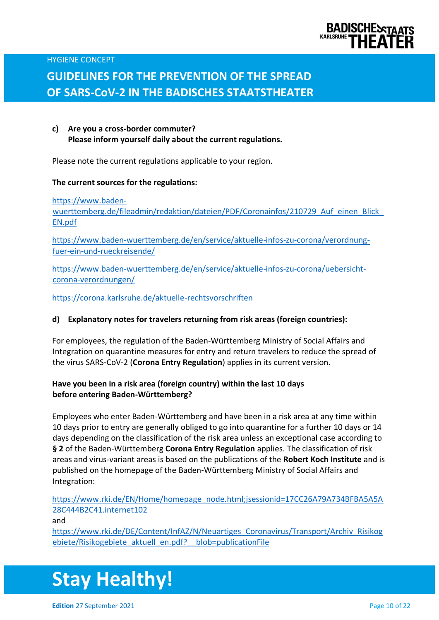

# **GUIDELINES FOR THE PREVENTION OF THE SPREAD OF SARS-CoV-2 IN THE BADISCHES STAATSTHEATER**

**c) Are you a cross-border commuter? Please inform yourself daily about the current regulations.**

Please note the current regulations applicable to your region.

#### **The current sources for the regulations:**

[https://www.baden-](https://www.baden-wuerttemberg.de/fileadmin/redaktion/dateien/PDF/Coronainfos/210729_Auf_einen_Blick_EN.pdf)

wuerttemberg.de/fileadmin/redaktion/dateien/PDF/Coronainfos/210729 Auf einen Blick [EN.pdf](https://www.baden-wuerttemberg.de/fileadmin/redaktion/dateien/PDF/Coronainfos/210729_Auf_einen_Blick_EN.pdf)

[https://www.baden-wuerttemberg.de/en/service/aktuelle-infos-zu-corona/verordnung](https://www.baden-wuerttemberg.de/en/service/aktuelle-infos-zu-corona/verordnung-fuer-ein-und-rueckreisende/)[fuer-ein-und-rueckreisende/](https://www.baden-wuerttemberg.de/en/service/aktuelle-infos-zu-corona/verordnung-fuer-ein-und-rueckreisende/)

[https://www.baden-wuerttemberg.de/en/service/aktuelle-infos-zu-corona/uebersicht](https://www.baden-wuerttemberg.de/en/service/aktuelle-infos-zu-corona/uebersicht-corona-verordnungen/)[corona-verordnungen/](https://www.baden-wuerttemberg.de/en/service/aktuelle-infos-zu-corona/uebersicht-corona-verordnungen/)

<https://corona.karlsruhe.de/aktuelle-rechtsvorschriften>

#### **d) Explanatory notes for travelers returning from risk areas (foreign countries):**

For employees, the regulation of the Baden-Württemberg Ministry of Social Affairs and Integration on quarantine measures for entry and return travelers to reduce the spread of the virus SARS-CoV-2 (**Corona Entry Regulation**) applies in its current version.

#### **Have you been in a risk area (foreign country) within the last 10 days before entering Baden-Württemberg?**

Employees who enter Baden-Württemberg and have been in a risk area at any time within 10 days prior to entry are generally obliged to go into quarantine for a further 10 days or 14 days depending on the classification of the risk area unless an exceptional case according to **§ 2** of the Baden-Württemberg **Corona Entry Regulation** applies. The classification of risk areas and virus-variant areas is based on the publications of the **Robert Koch Institute** and is published on the homepage of the Baden-Württemberg Ministry of Social Affairs and Integration:

[https://www.rki.de/EN/Home/homepage\\_node.html;jsessionid=17CC26A79A734BFBA5A5A](https://www.rki.de/EN/Home/homepage_node.html;jsessionid=17CC26A79A734BFBA5A5A28C444B2C41.internet102) [28C444B2C41.internet102](https://www.rki.de/EN/Home/homepage_node.html;jsessionid=17CC26A79A734BFBA5A5A28C444B2C41.internet102)

and

[https://www.rki.de/DE/Content/InfAZ/N/Neuartiges\\_Coronavirus/Transport/Archiv\\_Risikog](https://www.rki.de/DE/Content/InfAZ/N/Neuartiges_Coronavirus/Transport/Archiv_Risikogebiete/Risikogebiete_aktuell_en.pdf?__blob=publicationFile) [ebiete/Risikogebiete\\_aktuell\\_en.pdf?\\_\\_blob=publicationFile](https://www.rki.de/DE/Content/InfAZ/N/Neuartiges_Coronavirus/Transport/Archiv_Risikogebiete/Risikogebiete_aktuell_en.pdf?__blob=publicationFile)

# **Stay Healthy!**

**Edition** 27 September 2021 **Page 10 of 22**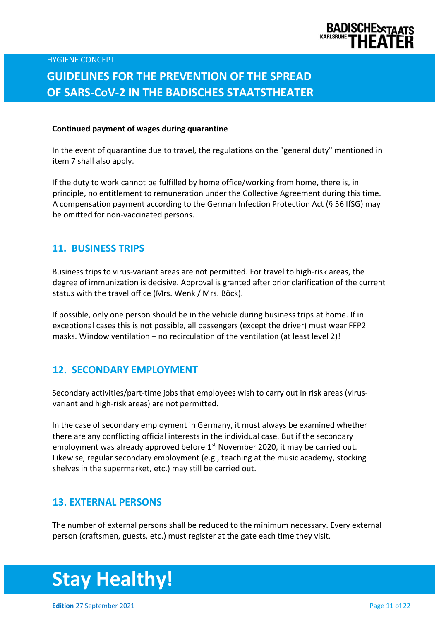

# **GUIDELINES FOR THE PREVENTION OF THE SPREAD OF SARS-CoV-2 IN THE BADISCHES STAATSTHEATER**

#### **Continued payment of wages during quarantine**

In the event of quarantine due to travel, the regulations on the "general duty" mentioned in item 7 shall also apply.

If the duty to work cannot be fulfilled by home office/working from home, there is, in principle, no entitlement to remuneration under the Collective Agreement during this time. A compensation payment according to the German Infection Protection Act (§ 56 IfSG) may be omitted for non-vaccinated persons.

#### **11. BUSINESS TRIPS**

Business trips to virus-variant areas are not permitted. For travel to high-risk areas, the degree of immunization is decisive. Approval is granted after prior clarification of the current status with the travel office (Mrs. Wenk / Mrs. Böck).

If possible, only one person should be in the vehicle during business trips at home. If in exceptional cases this is not possible, all passengers (except the driver) must wear FFP2 masks. Window ventilation – no recirculation of the ventilation (at least level 2)!

#### **12. SECONDARY EMPLOYMENT**

Secondary activities/part-time jobs that employees wish to carry out in risk areas (virusvariant and high-risk areas) are not permitted.

In the case of secondary employment in Germany, it must always be examined whether there are any conflicting official interests in the individual case. But if the secondary employment was already approved before  $1<sup>st</sup>$  November 2020, it may be carried out. Likewise, regular secondary employment (e.g., teaching at the music academy, stocking shelves in the supermarket, etc.) may still be carried out.

#### **13. EXTERNAL PERSONS**

The number of external persons shall be reduced to the minimum necessary. Every external person (craftsmen, guests, etc.) must register at the gate each time they visit.



**Edition** 27 September 2021 **Page 11 of 22**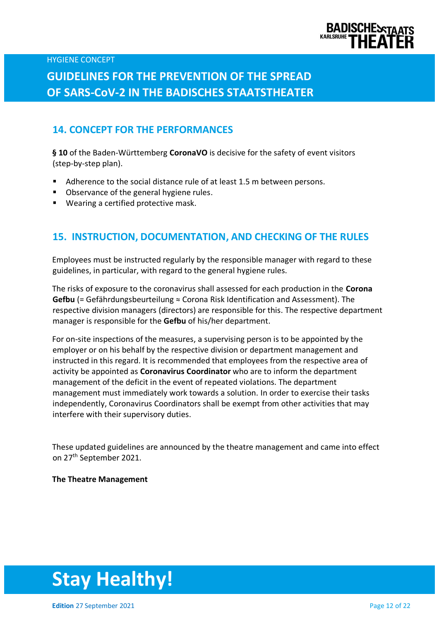

# **GUIDELINES FOR THE PREVENTION OF THE SPREAD OF SARS-CoV-2 IN THE BADISCHES STAATSTHEATER**

### **14. CONCEPT FOR THE PERFORMANCES**

**§ 10** of the Baden-Württemberg **CoronaVO** is decisive for the safety of event visitors (step-by-step plan).

- Adherence to the social distance rule of at least 1.5 m between persons.
- Observance of the general hygiene rules.
- Wearing a certified protective mask.

### **15. INSTRUCTION, DOCUMENTATION, AND CHECKING OF THE RULES**

Employees must be instructed regularly by the responsible manager with regard to these guidelines, in particular, with regard to the general hygiene rules.

The risks of exposure to the coronavirus shall assessed for each production in the **Corona Gefbu** (= Gefährdungsbeurteilung ≈ Corona Risk Identification and Assessment). The respective division managers (directors) are responsible for this. The respective department manager is responsible for the **Gefbu** of his/her department.

For on-site inspections of the measures, a supervising person is to be appointed by the employer or on his behalf by the respective division or department management and instructed in this regard. It is recommended that employees from the respective area of activity be appointed as **Coronavirus Coordinator** who are to inform the department management of the deficit in the event of repeated violations. The department management must immediately work towards a solution. In order to exercise their tasks independently, Coronavirus Coordinators shall be exempt from other activities that may interfere with their supervisory duties.

These updated guidelines are announced by the theatre management and came into effect on 27th September 2021.

#### **The Theatre Management**

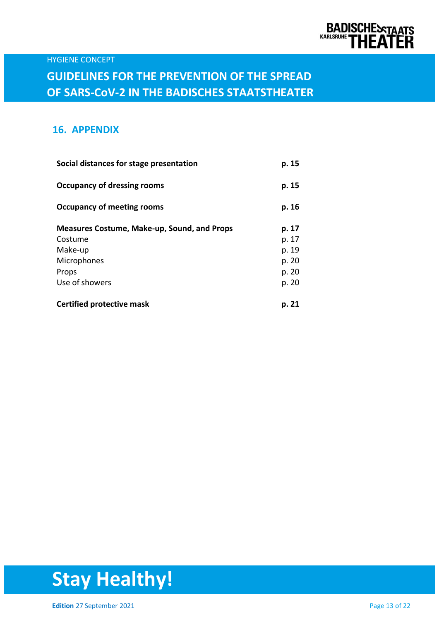

### **16. APPENDIX**

| Social distances for stage presentation            | p. 15 |
|----------------------------------------------------|-------|
| Occupancy of dressing rooms                        | p. 15 |
| <b>Occupancy of meeting rooms</b>                  | p. 16 |
| <b>Measures Costume, Make-up, Sound, and Props</b> | p. 17 |
| Costume                                            | p. 17 |
| Make-up                                            | p. 19 |
| Microphones                                        | p. 20 |
| Props                                              | p. 20 |
| Use of showers                                     | p. 20 |
| <b>Certified protective mask</b>                   | p. 21 |

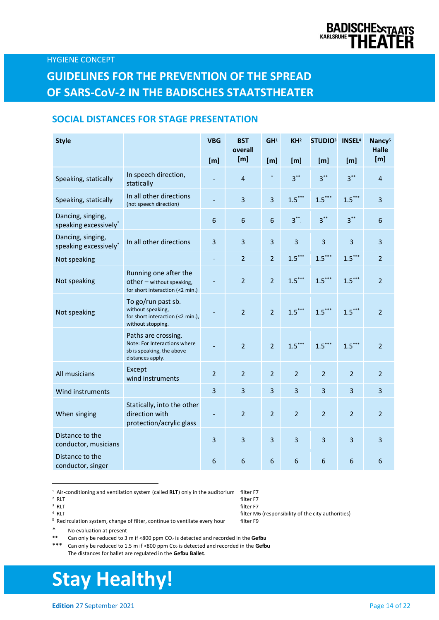### **SOCIAL DISTANCES FOR STAGE PRESENTATION**

| <b>Style</b>                               |                                                                                                      | <b>VBG</b><br>[m]        | <b>BST</b><br>overall<br>[m] | GH <sup>1</sup><br>[m] | KH <sup>2</sup><br>[m] | <b>STUDIO3</b><br>[m]   | <b>INSEL4</b><br>[m] | Nancy <sup>5</sup><br><b>Halle</b><br>[m] |
|--------------------------------------------|------------------------------------------------------------------------------------------------------|--------------------------|------------------------------|------------------------|------------------------|-------------------------|----------------------|-------------------------------------------|
| Speaking, statically                       | In speech direction,<br>statically                                                                   |                          | $\overline{4}$               | $\ast$                 | $3***$                 | $3***$                  | $3***$               | 4                                         |
| Speaking, statically                       | In all other directions<br>(not speech direction)                                                    | $\overline{\phantom{0}}$ | 3                            | $\overline{3}$         | $1.5***$               | $1.5***$                | $1.5***$             | 3                                         |
| Dancing, singing,<br>speaking excessively* |                                                                                                      | $6\phantom{1}6$          | $6\phantom{1}$               | $\boldsymbol{6}$       | $3***$                 | $3***$                  | $3***$               | 6                                         |
| Dancing, singing,<br>speaking excessively* | In all other directions                                                                              | $\overline{3}$           | 3                            | 3                      | $\overline{3}$         | $\overline{\mathbf{3}}$ | 3                    | 3                                         |
| Not speaking                               |                                                                                                      |                          | $\overline{2}$               | $\overline{2}$         | $1.5***$               | $1.5***$                | $1.5***$             | $\overline{2}$                            |
| Not speaking                               | Running one after the<br>other $-$ without speaking,<br>for short interaction (<2 min.)              |                          | $\overline{2}$               | $\overline{2}$         | $1.5***$               | $1.5***$                | $1.5***$             | $\overline{2}$                            |
| Not speaking                               | To go/run past sb.<br>without speaking,<br>for short interaction (<2 min.),<br>without stopping.     |                          | $\overline{2}$               | $\overline{2}$         | $1.5***$               | $1.5***$                | $1.5***$             | $\overline{2}$                            |
|                                            | Paths are crossing.<br>Note: For Interactions where<br>sb is speaking, the above<br>distances apply. |                          | $\overline{2}$               | $\overline{2}$         | $1.5***$               | $1.5***$                | $1.5***$             | $\overline{2}$                            |
| All musicians                              | Except<br>wind instruments                                                                           | $\overline{2}$           | $\overline{2}$               | $\overline{2}$         | $\overline{2}$         | $\overline{2}$          | $\overline{2}$       | $\overline{2}$                            |
| Wind instruments                           |                                                                                                      | $\overline{3}$           | $\overline{3}$               | 3                      | 3                      | $\overline{3}$          | 3                    | 3                                         |
| When singing                               | Statically, into the other<br>direction with<br>protection/acrylic glass                             |                          | $\overline{2}$               | $\overline{2}$         | $\overline{2}$         | $\overline{2}$          | $\overline{2}$       | $\overline{2}$                            |
| Distance to the<br>conductor, musicians    |                                                                                                      | $\overline{3}$           | 3                            | 3                      | $\overline{3}$         | $\overline{3}$          | 3                    | $\overline{3}$                            |
| Distance to the<br>conductor, singer       |                                                                                                      | $6\phantom{1}6$          | 6                            | $6\phantom{1}$         | 6                      | $6\phantom{1}6$         | 6                    | 6                                         |

<sup>1</sup> Air-conditioning and ventilation system (called RLT) only in the auditorium filter F7

<sup>3</sup> RLT RLT filter F7

 $4$  RLT

<sup>5</sup> Recirculation system, change of filter, continue to ventilate every hour filter F9

\* No evaluation at present

\*\* Can only be reduced to 3 m if <800 ppm CO<sub>2</sub> is detected and recorded in the **Gefbu**<br>\*\*\* Can only be reduced to 1.5 m if <800 ppm Co<sub>2</sub> is detected and recorded in the Gefbu

Can only be reduced to 1.5 m if <800 ppm Co<sub>2</sub> is detected and recorded in the Gefbu The distances for ballet are regulated in the **Gefbu Ballet**.

# **Stay Healthy!**

**Edition** 27 September 2021 **Page 14 of 22** 

filter M6 (responsibility of the city authorities)<br>filter F9

<sup>&</sup>lt;sup>2</sup> RLT RLT filter F7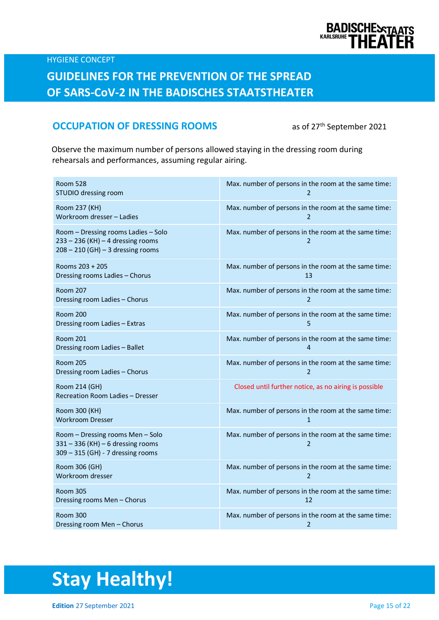

## **GUIDELINES FOR THE PREVENTION OF THE SPREAD OF SARS-CoV-2 IN THE BADISCHES STAATSTHEATER**

### **OCCUPATION OF DRESSING ROOMS** as of 27<sup>th</sup> September 2021

Observe the maximum number of persons allowed staying in the dressing room during rehearsals and performances, assuming regular airing.

| <b>Room 528</b><br>STUDIO dressing room                                                                             | Max. number of persons in the room at the same time:                   |
|---------------------------------------------------------------------------------------------------------------------|------------------------------------------------------------------------|
| Room 237 (KH)                                                                                                       | Max. number of persons in the room at the same time:                   |
| Workroom dresser - Ladies                                                                                           | $\overline{2}$                                                         |
| Room - Dressing rooms Ladies - Solo<br>$233 - 236$ (KH) $- 4$ dressing rooms<br>$208 - 210$ (GH) - 3 dressing rooms | Max. number of persons in the room at the same time:<br>$\overline{2}$ |
| Rooms 203 + 205                                                                                                     | Max. number of persons in the room at the same time:                   |
| Dressing rooms Ladies - Chorus                                                                                      | 1 <sub>3</sub>                                                         |
| <b>Room 207</b>                                                                                                     | Max. number of persons in the room at the same time:                   |
| Dressing room Ladies - Chorus                                                                                       | $\overline{2}$                                                         |
| <b>Room 200</b>                                                                                                     | Max. number of persons in the room at the same time:                   |
| Dressing room Ladies - Extras                                                                                       | 5                                                                      |
| <b>Room 201</b>                                                                                                     | Max. number of persons in the room at the same time:                   |
| Dressing room Ladies - Ballet                                                                                       | 4                                                                      |
| <b>Room 205</b>                                                                                                     | Max. number of persons in the room at the same time:                   |
| Dressing room Ladies - Chorus                                                                                       | $\overline{2}$                                                         |
| Room 214 (GH)<br>Recreation Room Ladies - Dresser                                                                   | Closed until further notice, as no airing is possible                  |
| Room 300 (KH)                                                                                                       | Max. number of persons in the room at the same time:                   |
| <b>Workroom Dresser</b>                                                                                             | $\mathbf{1}$                                                           |
| Room - Dressing rooms Men - Solo<br>$331 - 336$ (KH) - 6 dressing rooms<br>309 - 315 (GH) - 7 dressing rooms        | Max. number of persons in the room at the same time:<br>2              |
| Room 306 (GH)                                                                                                       | Max. number of persons in the room at the same time:                   |
| Workroom dresser                                                                                                    | $\overline{2}$                                                         |
| <b>Room 305</b>                                                                                                     | Max. number of persons in the room at the same time:                   |
| Dressing rooms Men - Chorus                                                                                         | 12                                                                     |
| <b>Room 300</b>                                                                                                     | Max. number of persons in the room at the same time:                   |
| Dressing room Men - Chorus                                                                                          | $\overline{2}$                                                         |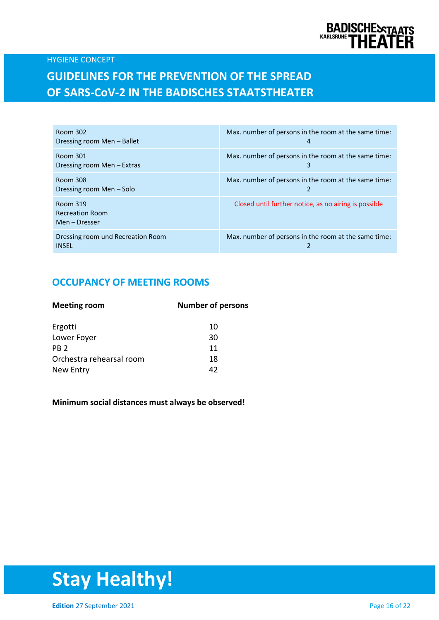

### **GUIDELINES FOR THE PREVENTION OF THE SPREAD OF SARS-CoV-2 IN THE BADISCHES STAATSTHEATER**

| Room 302<br>Dressing room Men – Ballet              | Max. number of persons in the room at the same time:<br>4 |
|-----------------------------------------------------|-----------------------------------------------------------|
| Room 301<br>Dressing room Men – Extras              | Max. number of persons in the room at the same time:<br>3 |
| Room 308<br>Dressing room Men – Solo                | Max. number of persons in the room at the same time:      |
| Room 319<br><b>Recreation Room</b><br>Men – Dresser | Closed until further notice, as no airing is possible     |
| Dressing room und Recreation Room<br><b>INSEL</b>   | Max. number of persons in the room at the same time:      |

### **OCCUPANCY OF MEETING ROOMS**

| <b>Meeting room</b>      | <b>Number of persons</b> |  |  |
|--------------------------|--------------------------|--|--|
| Ergotti                  | 10                       |  |  |
| Lower Foyer              | 30                       |  |  |
| PR <sub>2</sub>          | 11                       |  |  |
| Orchestra rehearsal room | 18                       |  |  |
| New Entry                | 42                       |  |  |
|                          |                          |  |  |

#### **Minimum social distances must always be observed!**

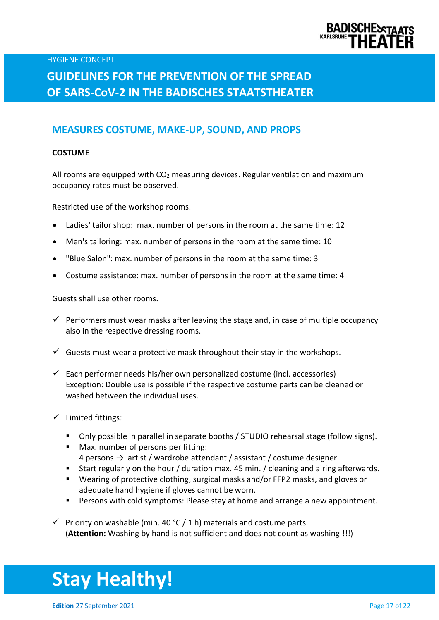

# **GUIDELINES FOR THE PREVENTION OF THE SPREAD OF SARS-CoV-2 IN THE BADISCHES STAATSTHEATER**

### **MEASURES COSTUME, MAKE-UP, SOUND, AND PROPS**

#### **COSTUME**

All rooms are equipped with  $CO<sub>2</sub>$  measuring devices. Regular ventilation and maximum occupancy rates must be observed.

Restricted use of the workshop rooms.

- Ladies' tailor shop: max. number of persons in the room at the same time: 12
- Men's tailoring: max. number of persons in the room at the same time: 10
- "Blue Salon": max. number of persons in the room at the same time: 3
- Costume assistance: max. number of persons in the room at the same time: 4

Guests shall use other rooms.

- $\checkmark$  Performers must wear masks after leaving the stage and, in case of multiple occupancy also in the respective dressing rooms.
- $\checkmark$  Guests must wear a protective mask throughout their stay in the workshops.
- $\checkmark$  Each performer needs his/her own personalized costume (incl. accessories) Exception: Double use is possible if the respective costume parts can be cleaned or washed between the individual uses.
- ✓ Limited fittings:
	- Only possible in parallel in separate booths / STUDIO rehearsal stage (follow signs).
	- Max. number of persons per fitting: 4 persons  $\rightarrow$  artist / wardrobe attendant / assistant / costume designer.
	- Start regularly on the hour / duration max. 45 min. / cleaning and airing afterwards.
	- Wearing of protective clothing, surgical masks and/or FFP2 masks, and gloves or adequate hand hygiene if gloves cannot be worn.
	- Persons with cold symptoms: Please stay at home and arrange a new appointment.
- $\checkmark$  Priority on washable (min. 40 °C / 1 h) materials and costume parts. (**Attention:** Washing by hand is not sufficient and does not count as washing !!!)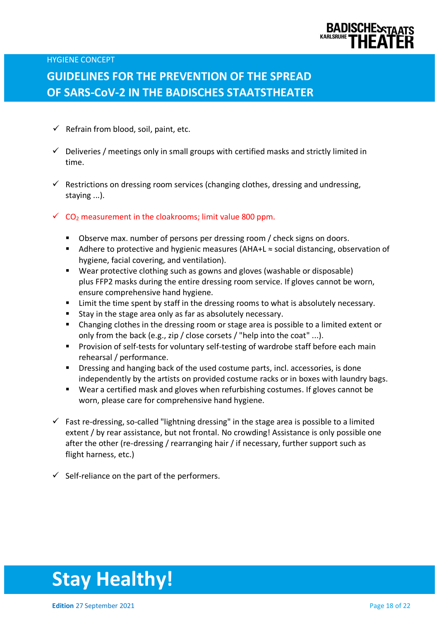

## **GUIDELINES FOR THE PREVENTION OF THE SPREAD OF SARS-CoV-2 IN THE BADISCHES STAATSTHEATER**

- $\checkmark$  Refrain from blood, soil, paint, etc.
- $\checkmark$  Deliveries / meetings only in small groups with certified masks and strictly limited in time.
- $\checkmark$  Restrictions on dressing room services (changing clothes, dressing and undressing, staying ...).
- $\checkmark$  CO<sub>2</sub> measurement in the cloakrooms; limit value 800 ppm.
	- Observe max. number of persons per dressing room / check signs on doors.
	- Adhere to protective and hygienic measures (AHA+L  $\approx$  social distancing, observation of hygiene, facial covering, and ventilation).
	- Wear protective clothing such as gowns and gloves (washable or disposable) plus FFP2 masks during the entire dressing room service. If gloves cannot be worn, ensure comprehensive hand hygiene.
	- Limit the time spent by staff in the dressing rooms to what is absolutely necessary.
	- Stay in the stage area only as far as absolutely necessary.
	- Changing clothes in the dressing room or stage area is possible to a limited extent or only from the back (e.g., zip / close corsets / "help into the coat" ...).
	- Provision of self-tests for voluntary self-testing of wardrobe staff before each main rehearsal / performance.
	- Dressing and hanging back of the used costume parts, incl. accessories, is done independently by the artists on provided costume racks or in boxes with laundry bags.
	- Wear a certified mask and gloves when refurbishing costumes. If gloves cannot be worn, please care for comprehensive hand hygiene.
- $\checkmark$  Fast re-dressing, so-called "lightning dressing" in the stage area is possible to a limited extent / by rear assistance, but not frontal. No crowding! Assistance is only possible one after the other (re-dressing / rearranging hair / if necessary, further support such as flight harness, etc.)
- $\checkmark$  Self-reliance on the part of the performers.

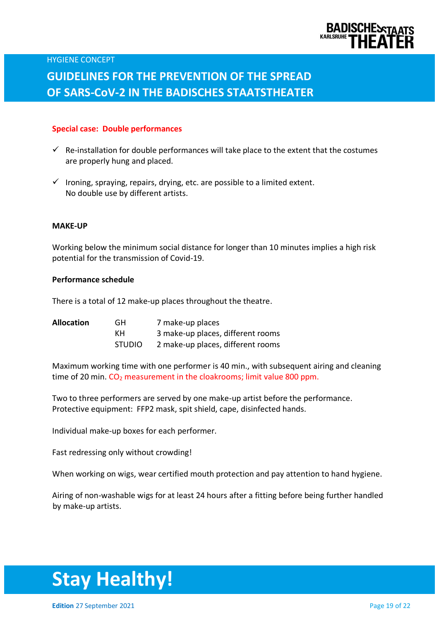

#### **Special case: Double performances**

- $\checkmark$  Re-installation for double performances will take place to the extent that the costumes are properly hung and placed.
- $\checkmark$  Ironing, spraying, repairs, drying, etc. are possible to a limited extent. No double use by different artists.

#### **MAKE-UP**

Working below the minimum social distance for longer than 10 minutes implies a high risk potential for the transmission of Covid-19.

#### **Performance schedule**

There is a total of 12 make-up places throughout the theatre.

| <b>Allocation</b> | GH.           | 7 make-up places                  |
|-------------------|---------------|-----------------------------------|
|                   | KH.           | 3 make-up places, different rooms |
|                   | <b>STUDIO</b> | 2 make-up places, different rooms |

Maximum working time with one performer is 40 min., with subsequent airing and cleaning time of 20 min. CO<sub>2</sub> measurement in the cloakrooms; limit value 800 ppm.

Two to three performers are served by one make-up artist before the performance. Protective equipment: FFP2 mask, spit shield, cape, disinfected hands.

Individual make-up boxes for each performer.

Fast redressing only without crowding!

When working on wigs, wear certified mouth protection and pay attention to hand hygiene.

Airing of non-washable wigs for at least 24 hours after a fitting before being further handled by make-up artists.

# **Stay Healthy!**

**Edition** 27 September 2021 **Page 19 of 22**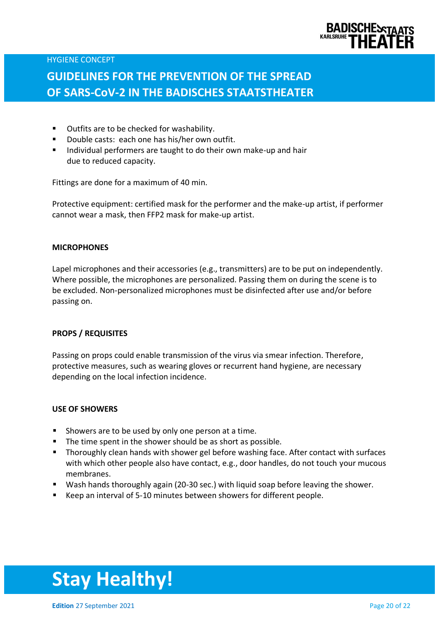

# **GUIDELINES FOR THE PREVENTION OF THE SPREAD OF SARS-CoV-2 IN THE BADISCHES STAATSTHEATER**

- Outfits are to be checked for washability.
- Double casts: each one has his/her own outfit.
- Individual performers are taught to do their own make-up and hair due to reduced capacity.

Fittings are done for a maximum of 40 min.

Protective equipment: certified mask for the performer and the make-up artist, if performer cannot wear a mask, then FFP2 mask for make-up artist.

#### **MICROPHONES**

Lapel microphones and their accessories (e.g., transmitters) are to be put on independently. Where possible, the microphones are personalized. Passing them on during the scene is to be excluded. Non-personalized microphones must be disinfected after use and/or before passing on.

#### **PROPS / REQUISITES**

Passing on props could enable transmission of the virus via smear infection. Therefore, protective measures, such as wearing gloves or recurrent hand hygiene, are necessary depending on the local infection incidence.

#### **USE OF SHOWERS**

- Showers are to be used by only one person at a time.
- The time spent in the shower should be as short as possible.
- Thoroughly clean hands with shower gel before washing face. After contact with surfaces with which other people also have contact, e.g., door handles, do not touch your mucous membranes.
- Wash hands thoroughly again (20-30 sec.) with liquid soap before leaving the shower.
- Keep an interval of 5-10 minutes between showers for different people.